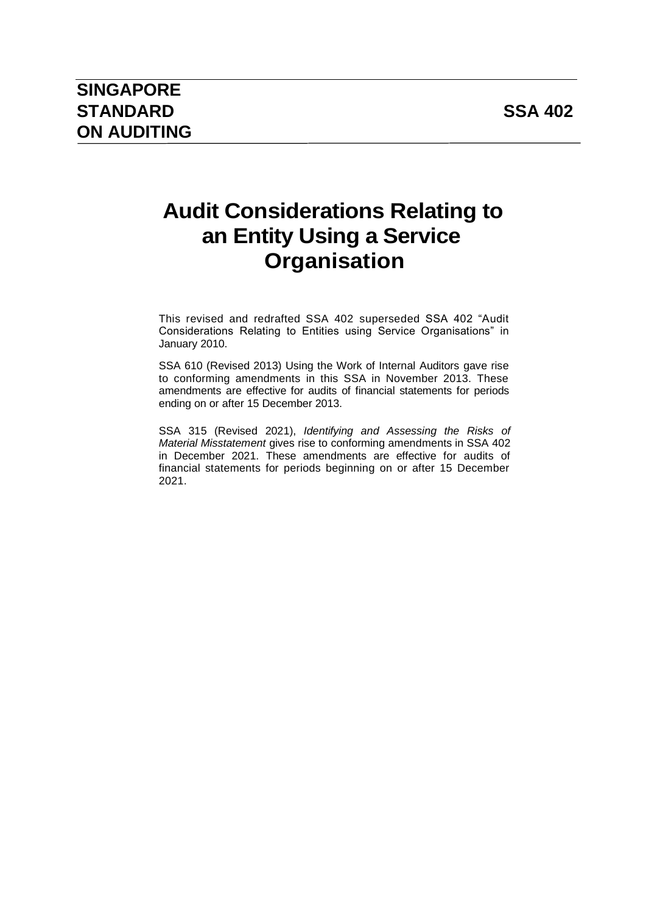# **Audit Considerations Relating to an Entity Using a Service Organisation**

This revised and redrafted SSA 402 superseded SSA 402 "Audit Considerations Relating to Entities using Service Organisations" in January 2010.

SSA 610 (Revised 2013) Using the Work of Internal Auditors gave rise to conforming amendments in this SSA in November 2013. These amendments are effective for audits of financial statements for periods ending on or after 15 December 2013.

SSA 315 (Revised 2021), *Identifying and Assessing the Risks of Material Misstatement* gives rise to conforming amendments in SSA 402 in December 2021. These amendments are effective for audits of financial statements for periods beginning on or after 15 December 2021.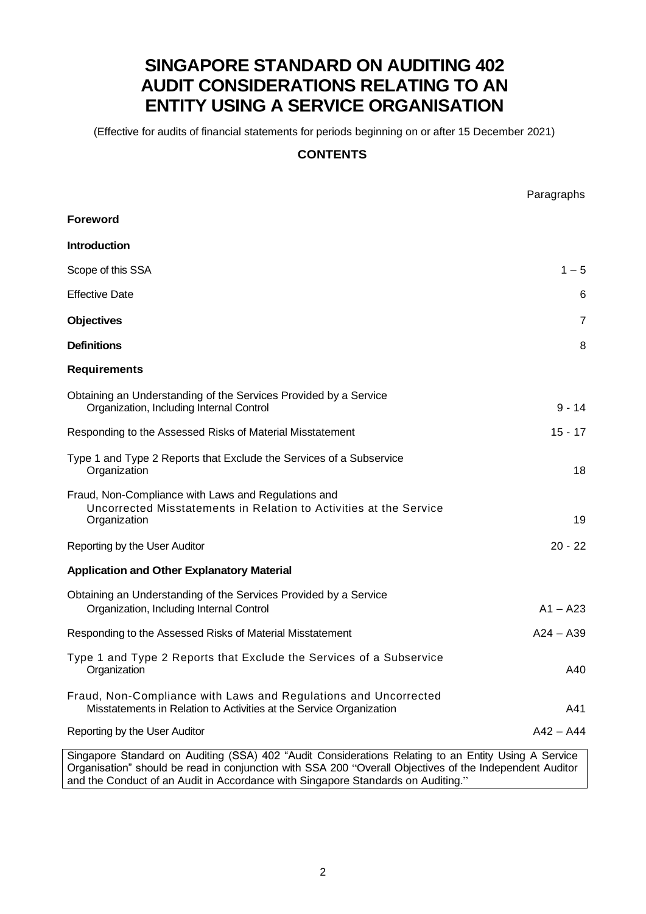# **SINGAPORE STANDARD ON AUDITING 402 AUDIT CONSIDERATIONS RELATING TO AN ENTITY USING A SERVICE ORGANISATION**

(Effective for audits of financial statements for periods beginning on or after 15 December 2021)

# **CONTENTS**

|                                                                                                                                                                                                                 | Paragraphs     |
|-----------------------------------------------------------------------------------------------------------------------------------------------------------------------------------------------------------------|----------------|
| Foreword                                                                                                                                                                                                        |                |
| <b>Introduction</b>                                                                                                                                                                                             |                |
| Scope of this SSA                                                                                                                                                                                               | $1 - 5$        |
| <b>Effective Date</b>                                                                                                                                                                                           | 6              |
| <b>Objectives</b>                                                                                                                                                                                               | $\overline{7}$ |
| <b>Definitions</b>                                                                                                                                                                                              | 8              |
| <b>Requirements</b>                                                                                                                                                                                             |                |
| Obtaining an Understanding of the Services Provided by a Service<br>Organization, Including Internal Control                                                                                                    | $9 - 14$       |
| Responding to the Assessed Risks of Material Misstatement                                                                                                                                                       | $15 - 17$      |
| Type 1 and Type 2 Reports that Exclude the Services of a Subservice<br>Organization                                                                                                                             | 18             |
| Fraud, Non-Compliance with Laws and Regulations and<br>Uncorrected Misstatements in Relation to Activities at the Service<br>Organization                                                                       | 19             |
| Reporting by the User Auditor                                                                                                                                                                                   | $20 - 22$      |
| <b>Application and Other Explanatory Material</b>                                                                                                                                                               |                |
| Obtaining an Understanding of the Services Provided by a Service<br>Organization, Including Internal Control                                                                                                    | $A1 - A23$     |
| Responding to the Assessed Risks of Material Misstatement                                                                                                                                                       | $A24 - A39$    |
| Type 1 and Type 2 Reports that Exclude the Services of a Subservice<br>Organization                                                                                                                             | A40            |
| Fraud, Non-Compliance with Laws and Regulations and Uncorrected<br>Misstatements in Relation to Activities at the Service Organization                                                                          | A41            |
| Reporting by the User Auditor                                                                                                                                                                                   | $A42 - A44$    |
| Singapore Standard on Auditing (SSA) 402 "Audit Considerations Relating to an Entity Using A Service<br>Organisation" should be read in conjunction with SSA 200 "Overall Objectives of the Independent Auditor |                |

and the Conduct of an Audit in Accordance with Singapore Standards on Auditing."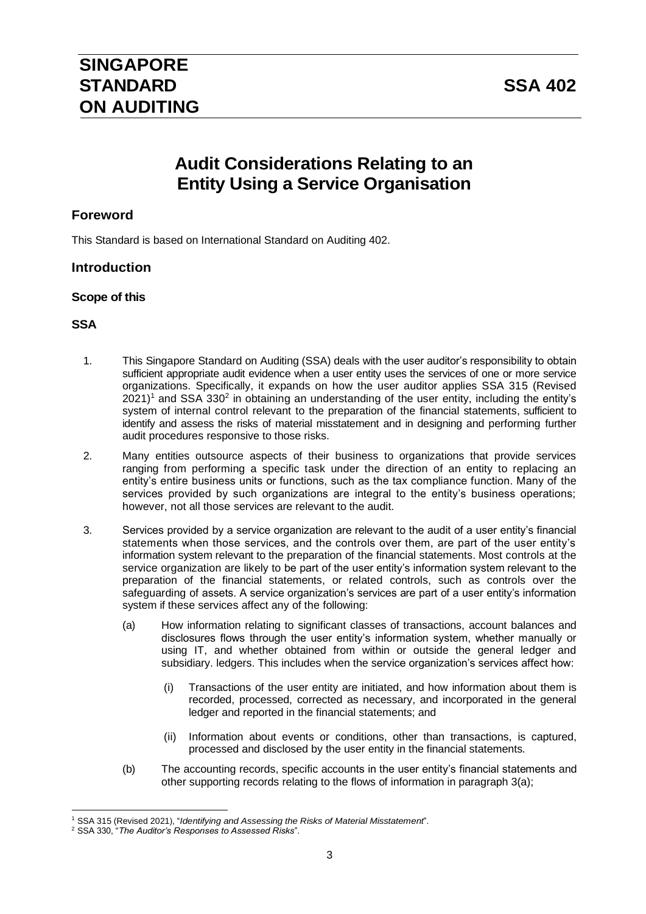# **Audit Considerations Relating to an Entity Using a Service Organisation**

# **Foreword**

This Standard is based on International Standard on Auditing 402.

#### **Introduction**

#### **Scope of this**

#### **SSA**

- 1. This Singapore Standard on Auditing (SSA) deals with the user auditor's responsibility to obtain sufficient appropriate audit evidence when a user entity uses the services of one or more service organizations. Specifically, it expands on how the user auditor applies SSA 315 (Revised  $2021$ <sup>1</sup> and SSA 330<sup>2</sup> in obtaining an understanding of the user entity, including the entity's system of internal control relevant to the preparation of the financial statements, sufficient to identify and assess the risks of material misstatement and in designing and performing further audit procedures responsive to those risks.
- 2. Many entities outsource aspects of their business to organizations that provide services ranging from performing a specific task under the direction of an entity to replacing an entity's entire business units or functions, such as the tax compliance function. Many of the services provided by such organizations are integral to the entity's business operations; however, not all those services are relevant to the audit.
- 3. Services provided by a service organization are relevant to the audit of a user entity's financial statements when those services, and the controls over them, are part of the user entity's information system relevant to the preparation of the financial statements. Most controls at the service organization are likely to be part of the user entity's information system relevant to the preparation of the financial statements, or related controls, such as controls over the safeguarding of assets. A service organization's services are part of a user entity's information system if these services affect any of the following:
	- (a) How information relating to significant classes of transactions, account balances and disclosures flows through the user entity's information system, whether manually or using IT, and whether obtained from within or outside the general ledger and subsidiary. ledgers. This includes when the service organization's services affect how:
		- (i) Transactions of the user entity are initiated, and how information about them is recorded, processed, corrected as necessary, and incorporated in the general ledger and reported in the financial statements; and
		- (ii) Information about events or conditions, other than transactions, is captured, processed and disclosed by the user entity in the financial statements.
	- (b) The accounting records, specific accounts in the user entity's financial statements and other supporting records relating to the flows of information in paragraph 3(a);

<sup>1</sup> SSA 315 (Revised 2021), "*Identifying and Assessing the Risks of Material Misstatement*".

<sup>2</sup> SSA 330, "*The Auditor's Responses to Assessed Risks*".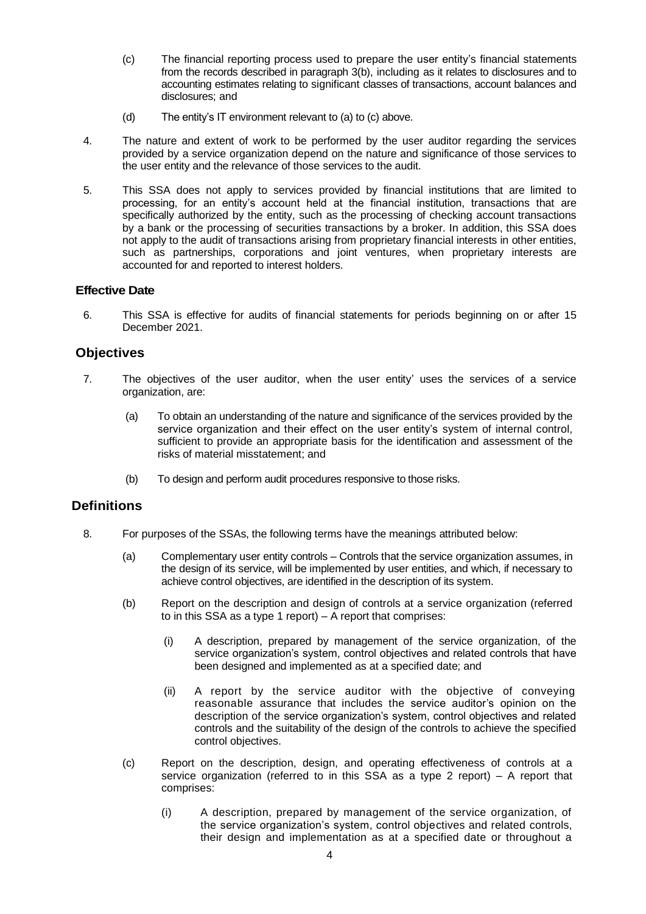- (c) The financial reporting process used to prepare the user entity's financial statements from the records described in paragraph 3(b), including as it relates to disclosures and to accounting estimates relating to significant classes of transactions, account balances and disclosures; and
- (d) The entity's IT environment relevant to (a) to (c) above.
- 4. The nature and extent of work to be performed by the user auditor regarding the services provided by a service organization depend on the nature and significance of those services to the user entity and the relevance of those services to the audit.
- 5. This SSA does not apply to services provided by financial institutions that are limited to processing, for an entity's account held at the financial institution, transactions that are specifically authorized by the entity, such as the processing of checking account transactions by a bank or the processing of securities transactions by a broker. In addition, this SSA does not apply to the audit of transactions arising from proprietary financial interests in other entities, such as partnerships, corporations and joint ventures, when proprietary interests are accounted for and reported to interest holders.

#### **Effective Date**

6. This SSA is effective for audits of financial statements for periods beginning on or after 15 December 2021.

# **Objectives**

- 7. The objectives of the user auditor, when the user entity' uses the services of a service organization, are:
	- (a) To obtain an understanding of the nature and significance of the services provided by the service organization and their effect on the user entity's system of internal control, sufficient to provide an appropriate basis for the identification and assessment of the risks of material misstatement; and
	- (b) To design and perform audit procedures responsive to those risks.

# **Definitions**

- 8. For purposes of the SSAs, the following terms have the meanings attributed below:
	- (a) Complementary user entity controls Controls that the service organization assumes, in the design of its service, will be implemented by user entities, and which, if necessary to achieve control objectives, are identified in the description of its system.
	- (b) Report on the description and design of controls at a service organization (referred to in this SSA as a type 1 report)  $-$  A report that comprises:
		- (i) A description, prepared by management of the service organization, of the service organization's system, control objectives and related controls that have been designed and implemented as at a specified date; and
		- (ii) A report by the service auditor with the objective of conveying reasonable assurance that includes the service auditor's opinion on the description of the service organization's system, control objectives and related controls and the suitability of the design of the controls to achieve the specified control objectives.
	- (c) Report on the description, design, and operating effectiveness of controls at a service organization (referred to in this SSA as a type 2 report)  $-$  A report that comprises:
		- (i) A description, prepared by management of the service organization, of the service organization's system, control objectives and related controls, their design and implementation as at a specified date or throughout a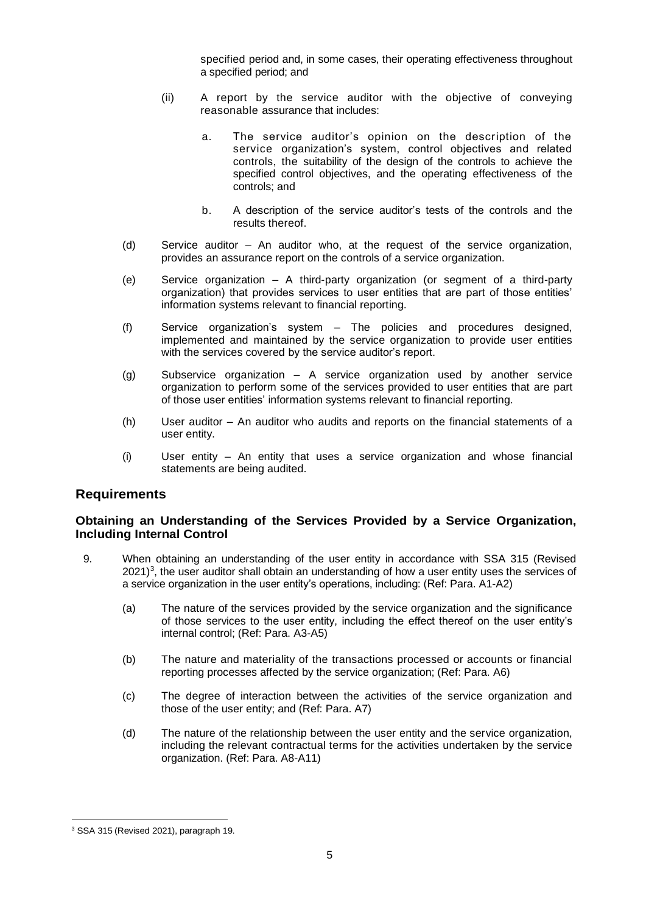specified period and, in some cases, their operating effectiveness throughout a specified period; and

- (ii) A report by the service auditor with the objective of conveying reasonable assurance that includes:
	- a. The service auditor's opinion on the description of the service organization's system, control objectives and related controls, the suitability of the design of the controls to achieve the specified control objectives, and the operating effectiveness of the controls; and
	- b. A description of the service auditor's tests of the controls and the results thereof.
- (d) Service auditor An auditor who, at the request of the service organization, provides an assurance report on the controls of a service organization.
- (e) Service organization A third-party organization (or segment of a third-party organization) that provides services to user entities that are part of those entities' information systems relevant to financial reporting.
- (f) Service organization's system The policies and procedures designed, implemented and maintained by the service organization to provide user entities with the services covered by the service auditor's report.
- (g) Subservice organization A service organization used by another service organization to perform some of the services provided to user entities that are part of those user entities' information systems relevant to financial reporting.
- (h) User auditor An auditor who audits and reports on the financial statements of a user entity.
- (i) User entity An entity that uses a service organization and whose financial statements are being audited.

# **Requirements**

#### **Obtaining an Understanding of the Services Provided by a Service Organization, Including Internal Control**

- 9. When obtaining an understanding of the user entity in accordance with SSA 315 (Revised  $2021$ <sup>3</sup>, the user auditor shall obtain an understanding of how a user entity uses the services of a service organization in the user entity's operations, including: (Ref: Para. A1-A2)
	- (a) The nature of the services provided by the service organization and the significance of those services to the user entity, including the effect thereof on the user entity's internal control; (Ref: Para. A3-A5)
	- (b) The nature and materiality of the transactions processed or accounts or financial reporting processes affected by the service organization; (Ref: Para. A6)
	- (c) The degree of interaction between the activities of the service organization and those of the user entity; and (Ref: Para. A7)
	- (d) The nature of the relationship between the user entity and the service organization, including the relevant contractual terms for the activities undertaken by the service organization. (Ref: Para. A8-A11)

<sup>3</sup> SSA 315 (Revised 2021), paragraph 19.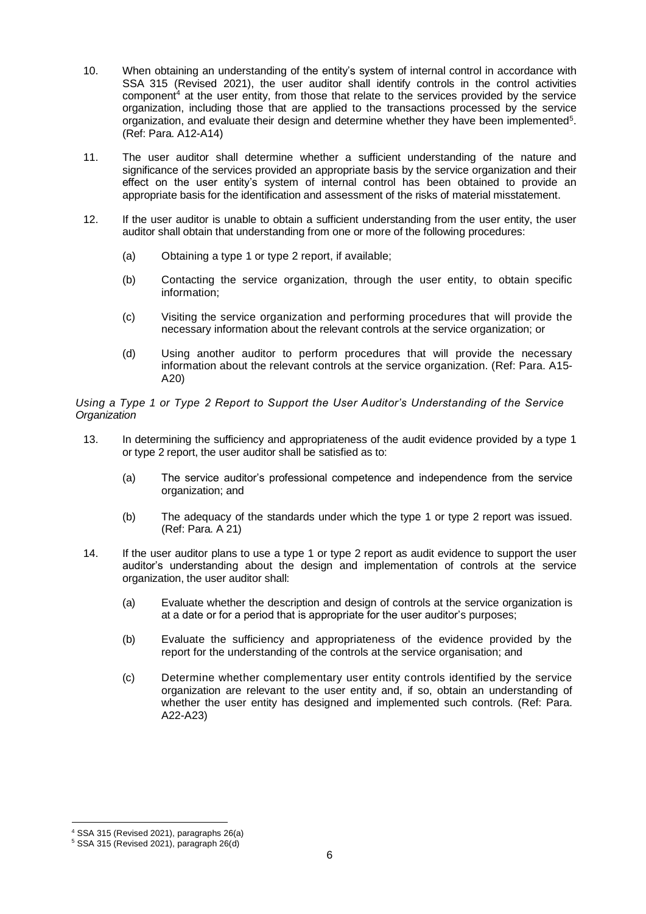- 10. When obtaining an understanding of the entity's system of internal control in accordance with SSA 315 (Revised 2021), the user auditor shall identify controls in the control activities component $4$  at the user entity, from those that relate to the services provided by the service organization, including those that are applied to the transactions processed by the service organization, and evaluate their design and determine whether they have been implemented<sup>5</sup>. (Ref: Para. A12-A14)
- 11. The user auditor shall determine whether a sufficient understanding of the nature and significance of the services provided an appropriate basis by the service organization and their effect on the user entity's system of internal control has been obtained to provide an appropriate basis for the identification and assessment of the risks of material misstatement.
- 12. If the user auditor is unable to obtain a sufficient understanding from the user entity, the user auditor shall obtain that understanding from one or more of the following procedures:
	- (a) Obtaining a type 1 or type 2 report, if available;
	- (b) Contacting the service organization, through the user entity, to obtain specific information;
	- (c) Visiting the service organization and performing procedures that will provide the necessary information about the relevant controls at the service organization; or
	- (d) Using another auditor to perform procedures that will provide the necessary information about the relevant controls at the service organization. (Ref: Para. A15- A20)

*Using a Type 1 or Type 2 Report to Support the User Auditor's Understanding of the Service Organization*

- 13. In determining the sufficiency and appropriateness of the audit evidence provided by a type 1 or type 2 report, the user auditor shall be satisfied as to:
	- (a) The service auditor's professional competence and independence from the service organization; and
	- (b) The adequacy of the standards under which the type 1 or type 2 report was issued. (Ref: Para. A 21)
- 14. If the user auditor plans to use a type 1 or type 2 report as audit evidence to support the user auditor's understanding about the design and implementation of controls at the service organization, the user auditor shall:
	- (a) Evaluate whether the description and design of controls at the service organization is at a date or for a period that is appropriate for the user auditor's purposes;
	- (b) Evaluate the sufficiency and appropriateness of the evidence provided by the report for the understanding of the controls at the service organisation; and
	- (c) Determine whether complementary user entity controls identified by the service organization are relevant to the user entity and, if so, obtain an understanding of whether the user entity has designed and implemented such controls. (Ref: Para. A22-A23)

<sup>4</sup> SSA 315 (Revised 2021), paragraphs 26(a)

<sup>5</sup> SSA 315 (Revised 2021), paragraph 26(d)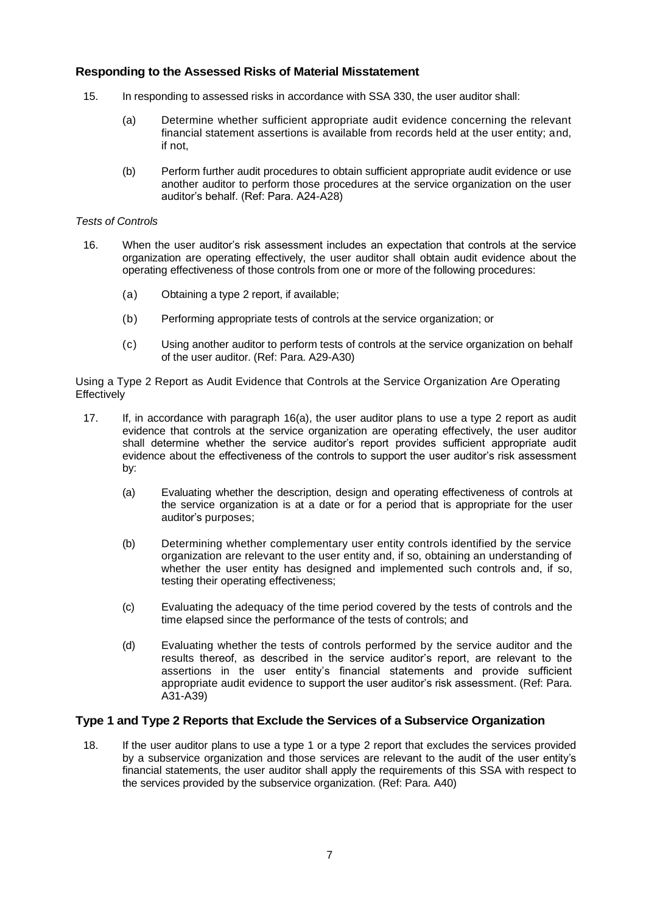# **Responding to the Assessed Risks of Material Misstatement**

- 15. In responding to assessed risks in accordance with SSA 330, the user auditor shall:
	- (a) Determine whether sufficient appropriate audit evidence concerning the relevant financial statement assertions is available from records held at the user entity; and, if not,
	- (b) Perform further audit procedures to obtain sufficient appropriate audit evidence or use another auditor to perform those procedures at the service organization on the user auditor's behalf. (Ref: Para. A24-A28)

#### *Tests of Controls*

- 16. When the user auditor's risk assessment includes an expectation that controls at the service organization are operating effectively, the user auditor shall obtain audit evidence about the operating effectiveness of those controls from one or more of the following procedures:
	- (a) Obtaining a type 2 report, if available;
	- (b) Performing appropriate tests of controls at the service organization; or
	- (c) Using another auditor to perform tests of controls at the service organization on behalf of the user auditor. (Ref: Para. A29-A30)

Using a Type 2 Report as Audit Evidence that Controls at the Service Organization Are Operating **Effectively** 

- 17. If, in accordance with paragraph 16(a), the user auditor plans to use a type 2 report as audit evidence that controls at the service organization are operating effectively, the user auditor shall determine whether the service auditor's report provides sufficient appropriate audit evidence about the effectiveness of the controls to support the user auditor's risk assessment by:
	- (a) Evaluating whether the description, design and operating effectiveness of controls at the service organization is at a date or for a period that is appropriate for the user auditor's purposes;
	- (b) Determining whether complementary user entity controls identified by the service organization are relevant to the user entity and, if so, obtaining an understanding of whether the user entity has designed and implemented such controls and, if so, testing their operating effectiveness;
	- (c) Evaluating the adequacy of the time period covered by the tests of controls and the time elapsed since the performance of the tests of controls; and
	- (d) Evaluating whether the tests of controls performed by the service auditor and the results thereof, as described in the service auditor's report, are relevant to the assertions in the user entity's financial statements and provide sufficient appropriate audit evidence to support the user auditor's risk assessment. (Ref: Para. A31-A39)

#### **Type 1 and Type 2 Reports that Exclude the Services of a Subservice Organization**

18. If the user auditor plans to use a type 1 or a type 2 report that excludes the services provided by a subservice organization and those services are relevant to the audit of the user entity's financial statements, the user auditor shall apply the requirements of this SSA with respect to the services provided by the subservice organization. (Ref: Para. A40)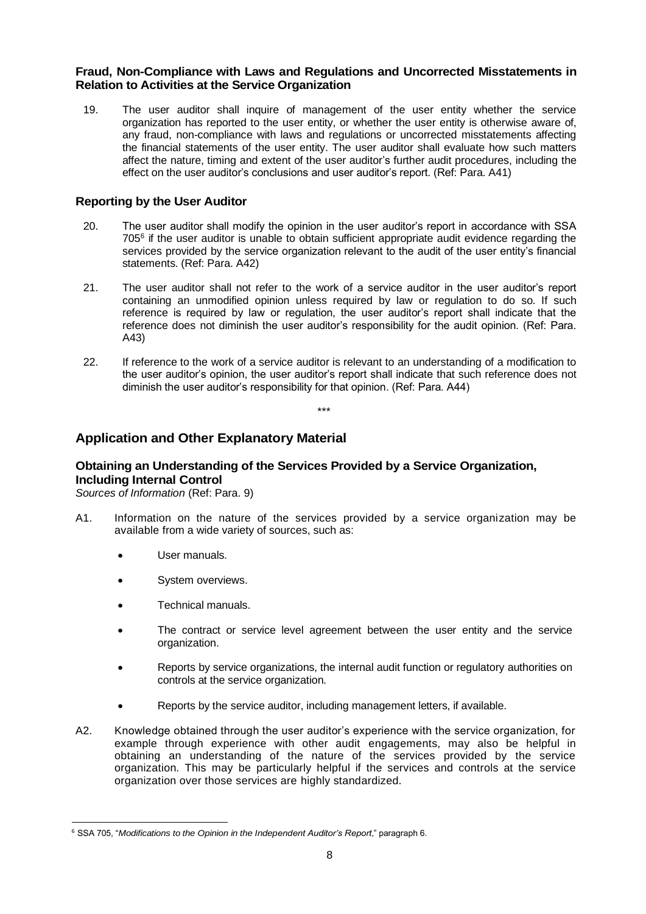#### **Fraud, Non-Compliance with Laws and Regulations and Uncorrected Misstatements in Relation to Activities at the Service Organization**

19. The user auditor shall inquire of management of the user entity whether the service organization has reported to the user entity, or whether the user entity is otherwise aware of, any fraud, non-compliance with laws and regulations or uncorrected misstatements affecting the financial statements of the user entity. The user auditor shall evaluate how such matters affect the nature, timing and extent of the user auditor's further audit procedures, including the effect on the user auditor's conclusions and user auditor's report. (Ref: Para. A41)

#### **Reporting by the User Auditor**

- 20. The user auditor shall modify the opinion in the user auditor's report in accordance with SSA 705<sup>6</sup> if the user auditor is unable to obtain sufficient appropriate audit evidence regarding the services provided by the service organization relevant to the audit of the user entity's financial statements. (Ref: Para. A42)
- 21. The user auditor shall not refer to the work of a service auditor in the user auditor's report containing an unmodified opinion unless required by law or regulation to do so. If such reference is required by law or regulation, the user auditor's report shall indicate that the reference does not diminish the user auditor's responsibility for the audit opinion. (Ref: Para. A43)
- 22. If reference to the work of a service auditor is relevant to an understanding of a modification to the user auditor's opinion, the user auditor's report shall indicate that such reference does not diminish the user auditor's responsibility for that opinion. (Ref: Para. A44)

\*\*\*

# **Application and Other Explanatory Material**

#### **Obtaining an Understanding of the Services Provided by a Service Organization, Including Internal Control**

*Sources of Information* (Ref: Para. 9)

- A1. Information on the nature of the services provided by a service organization may be available from a wide variety of sources, such as:
	- User manuals
	- System overviews.
	- Technical manuals.
	- The contract or service level agreement between the user entity and the service organization.
	- Reports by service organizations, the internal audit function or regulatory authorities on controls at the service organization.
	- Reports by the service auditor, including management letters, if available.
- A2. Knowledge obtained through the user auditor's experience with the service organization, for example through experience with other audit engagements, may also be helpful in obtaining an understanding of the nature of the services provided by the service organization. This may be particularly helpful if the services and controls at the service organization over those services are highly standardized.

<sup>6</sup> SSA 705, "*Modifications to the Opinion in the Independent Auditor's Report*," paragraph 6.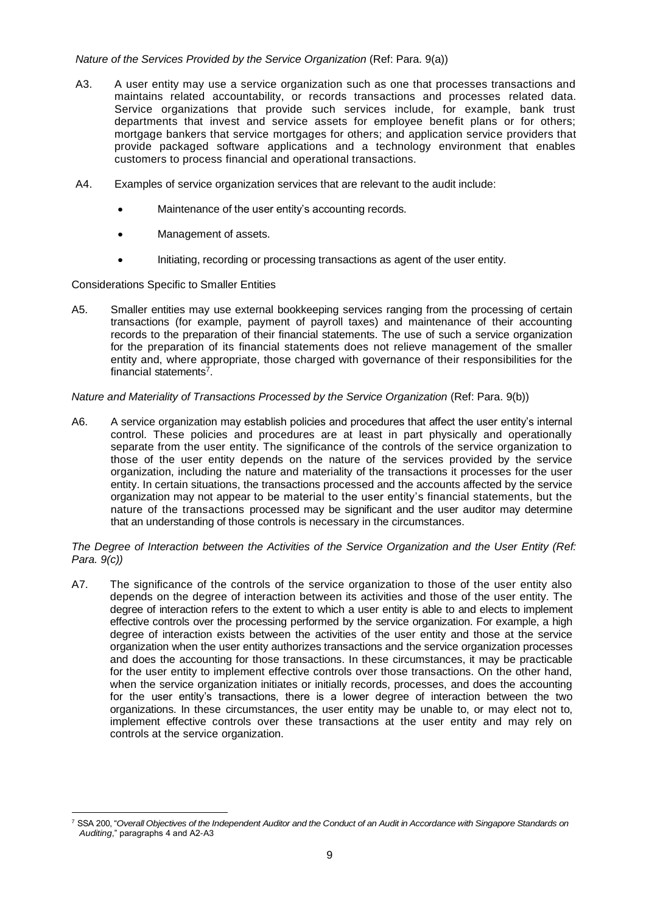#### *Nature of the Services Provided by the Service Organization (Ref: Para. 9(a))*

- A3. A user entity may use a service organization such as one that processes transactions and maintains related accountability, or records transactions and processes related data. Service organizations that provide such services include, for example, bank trust departments that invest and service assets for employee benefit plans or for others; mortgage bankers that service mortgages for others; and application service providers that provide packaged software applications and a technology environment that enables customers to process financial and operational transactions.
- A4. Examples of service organization services that are relevant to the audit include:
	- Maintenance of the user entity's accounting records.
	- Management of assets.
	- Initiating, recording or processing transactions as agent of the user entity.

Considerations Specific to Smaller Entities

A5. Smaller entities may use external bookkeeping services ranging from the processing of certain transactions (for example, payment of payroll taxes) and maintenance of their accounting records to the preparation of their financial statements. The use of such a service organization for the preparation of its financial statements does not relieve management of the smaller entity and, where appropriate, those charged with governance of their responsibilities for the financial statements<sup>7</sup>.

#### *Nature and Materiality of Transactions Processed by the Service Organization (Ref: Para. 9(b))*

A6. A service organization may establish policies and procedures that affect the user entity's internal control. These policies and procedures are at least in part physically and operationally separate from the user entity. The significance of the controls of the service organization to those of the user entity depends on the nature of the services provided by the service organization, including the nature and materiality of the transactions it processes for the user entity. In certain situations, the transactions processed and the accounts affected by the service organization may not appear to be material to the user entity's financial statements, but the nature of the transactions processed may be significant and the user auditor may determine that an understanding of those controls is necessary in the circumstances.

#### *The Degree of Interaction between the Activities of the Service Organization and the User Entity (Ref: Para. 9(c))*

A7. The significance of the controls of the service organization to those of the user entity also depends on the degree of interaction between its activities and those of the user entity. The degree of interaction refers to the extent to which a user entity is able to and elects to implement effective controls over the processing performed by the service organization. For example, a high degree of interaction exists between the activities of the user entity and those at the service organization when the user entity authorizes transactions and the service organization processes and does the accounting for those transactions. In these circumstances, it may be practicable for the user entity to implement effective controls over those transactions. On the other hand, when the service organization initiates or initially records, processes, and does the accounting for the user entity's transactions, there is a lower degree of interaction between the two organizations. In these circumstances, the user entity may be unable to, or may elect not to, implement effective controls over these transactions at the user entity and may rely on controls at the service organization.

<sup>7</sup> SSA 200, "*Overall Objectives of the Independent Auditor and the Conduct of an Audit in Accordance with Singapore Standards on Auditing*," paragraphs 4 and A2-A3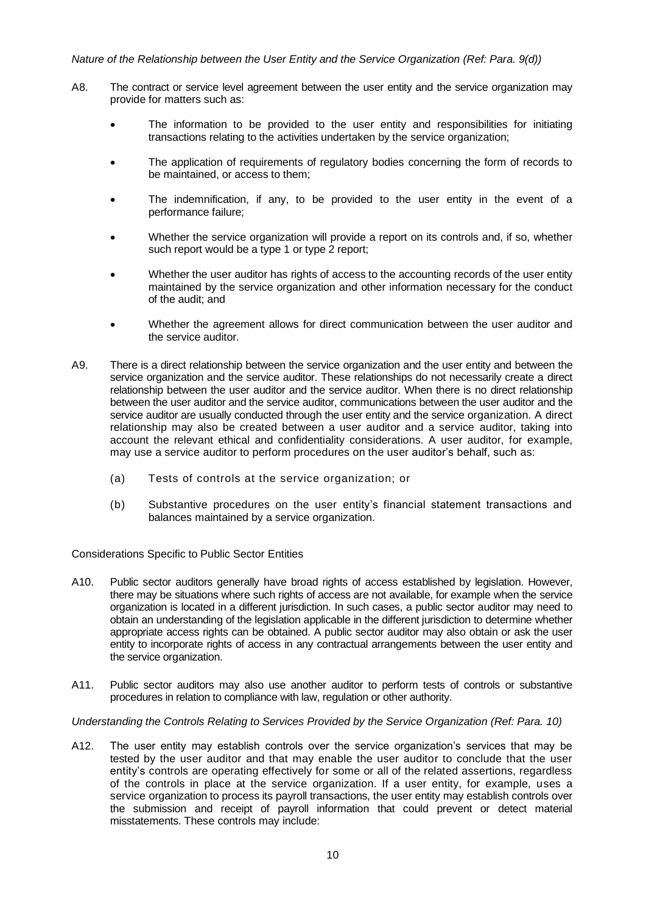#### *Nature of the Relationship between the User Entity and the Service Organization (Ref: Para. 9(d))*

- A8. The contract or service level agreement between the user entity and the service organization may provide for matters such as:
	- The information to be provided to the user entity and responsibilities for initiating transactions relating to the activities undertaken by the service organization;
	- The application of requirements of requlatory bodies concerning the form of records to be maintained, or access to them;
	- The indemnification, if any, to be provided to the user entity in the event of a performance failure;
	- Whether the service organization will provide a report on its controls and, if so, whether such report would be a type 1 or type 2 report;
	- Whether the user auditor has rights of access to the accounting records of the user entity maintained by the service organization and other information necessary for the conduct of the audit; and
	- Whether the agreement allows for direct communication between the user auditor and the service auditor.
- A9. There is a direct relationship between the service organization and the user entity and between the service organization and the service auditor. These relationships do not necessarily create a direct relationship between the user auditor and the service auditor. When there is no direct relationship between the user auditor and the service auditor, communications between the user auditor and the service auditor are usually conducted through the user entity and the service organization. A direct relationship may also be created between a user auditor and a service auditor, taking into account the relevant ethical and confidentiality considerations. A user auditor, for example, may use a service auditor to perform procedures on the user auditor's behalf, such as:
	- (a) Tests of controls at the service organization; or
	- (b) Substantive procedures on the user entity's financial statement transactions and balances maintained by a service organization.

Considerations Specific to Public Sector Entities

- A10. Public sector auditors generally have broad rights of access established by legislation. However, there may be situations where such rights of access are not available, for example when the service organization is located in a different jurisdiction. In such cases, a public sector auditor may need to obtain an understanding of the legislation applicable in the different jurisdiction to determine whether appropriate access rights can be obtained. A public sector auditor may also obtain or ask the user entity to incorporate rights of access in any contractual arrangements between the user entity and the service organization.
- A11. Public sector auditors may also use another auditor to perform tests of controls or substantive procedures in relation to compliance with law, regulation or other authority.

*Understanding the Controls Relating to Services Provided by the Service Organization (Ref: Para. 10)*

A12. The user entity may establish controls over the service organization's services that may be tested by the user auditor and that may enable the user auditor to conclude that the user entity's controls are operating effectively for some or all of the related assertions, regardless of the controls in place at the service organization. If a user entity, for example, uses a service organization to process its payroll transactions, the user entity may establish controls over the submission and receipt of payroll information that could prevent or detect material misstatements. These controls may include: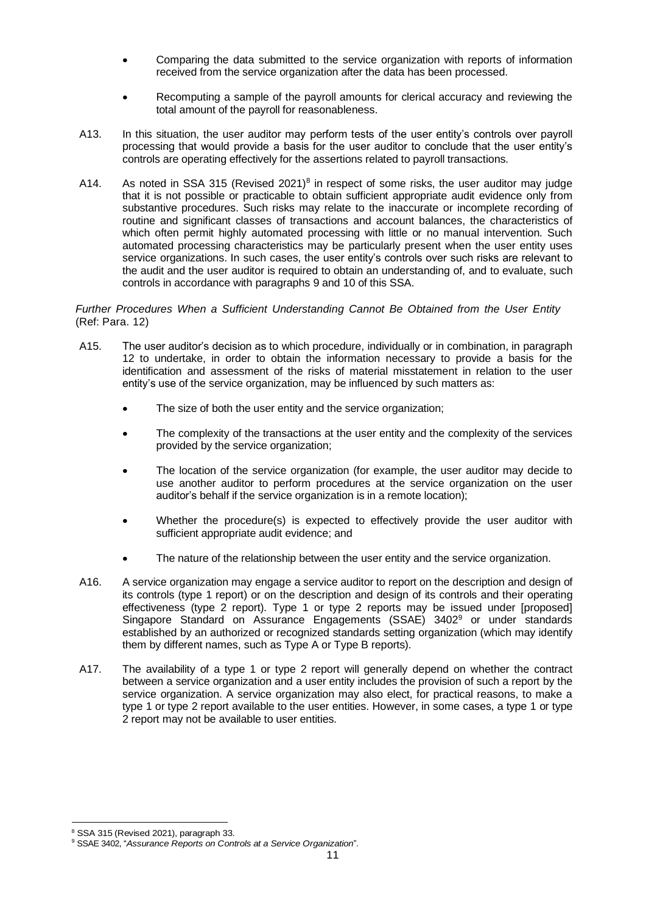- Comparing the data submitted to the service organization with reports of information received from the service organization after the data has been processed.
- Recomputing a sample of the payroll amounts for clerical accuracy and reviewing the total amount of the payroll for reasonableness.
- A13. In this situation, the user auditor may perform tests of the user entity's controls over payroll processing that would provide a basis for the user auditor to conclude that the user entity's controls are operating effectively for the assertions related to payroll transactions.
- A14. As noted in SSA 315 (Revised 2021)<sup>8</sup> in respect of some risks, the user auditor may judge that it is not possible or practicable to obtain sufficient appropriate audit evidence only from substantive procedures. Such risks may relate to the inaccurate or incomplete recording of routine and significant classes of transactions and account balances, the characteristics of which often permit highly automated processing with little or no manual intervention. Such automated processing characteristics may be particularly present when the user entity uses service organizations. In such cases, the user entity's controls over such risks are relevant to the audit and the user auditor is required to obtain an understanding of, and to evaluate, such controls in accordance with paragraphs 9 and 10 of this SSA.

*Further Procedures When a Sufficient Understanding Cannot Be Obtained from the User Entity*  (Ref: Para. 12)

- A15. The user auditor's decision as to which procedure, individually or in combination, in paragraph 12 to undertake, in order to obtain the information necessary to provide a basis for the identification and assessment of the risks of material misstatement in relation to the user entity's use of the service organization, may be influenced by such matters as:
	- The size of both the user entity and the service organization;
	- The complexity of the transactions at the user entity and the complexity of the services provided by the service organization;
	- The location of the service organization (for example, the user auditor may decide to use another auditor to perform procedures at the service organization on the user auditor's behalf if the service organization is in a remote location);
	- Whether the procedure(s) is expected to effectively provide the user auditor with sufficient appropriate audit evidence; and
	- The nature of the relationship between the user entity and the service organization.
- A16. A service organization may engage a service auditor to report on the description and design of its controls (type 1 report) or on the description and design of its controls and their operating effectiveness (type 2 report). Type 1 or type 2 reports may be issued under [proposed] Singapore Standard on Assurance Engagements (SSAE) 3402<sup>9</sup> or under standards established by an authorized or recognized standards setting organization (which may identify them by different names, such as Type A or Type B reports).
- A17. The availability of a type 1 or type 2 report will generally depend on whether the contract between a service organization and a user entity includes the provision of such a report by the service organization. A service organization may also elect, for practical reasons, to make a type 1 or type 2 report available to the user entities. However, in some cases, a type 1 or type 2 report may not be available to user entities.

<sup>8</sup> SSA 315 (Revised 2021), paragraph 33.

<sup>9</sup> SSAE 3402, "*Assurance Reports on Controls at a Service Organization*".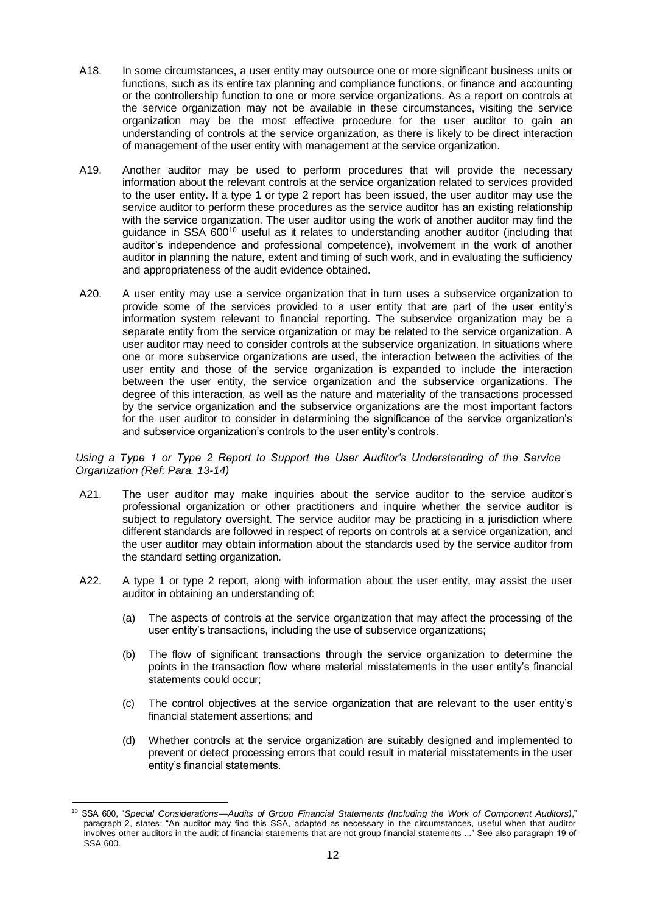- A18. In some circumstances, a user entity may outsource one or more significant business units or functions, such as its entire tax planning and compliance functions, or finance and accounting or the controllership function to one or more service organizations. As a report on controls at the service organization may not be available in these circumstances, visiting the service organization may be the most effective procedure for the user auditor to gain an understanding of controls at the service organization, as there is likely to be direct interaction of management of the user entity with management at the service organization.
- A19. Another auditor may be used to perform procedures that will provide the necessary information about the relevant controls at the service organization related to services provided to the user entity. If a type 1 or type 2 report has been issued, the user auditor may use the service auditor to perform these procedures as the service auditor has an existing relationship with the service organization. The user auditor using the work of another auditor may find the guidance in SSA 600<sup>10</sup> useful as it relates to understanding another auditor (including that auditor's independence and professional competence), involvement in the work of another auditor in planning the nature, extent and timing of such work, and in evaluating the sufficiency and appropriateness of the audit evidence obtained.
- A20. A user entity may use a service organization that in turn uses a subservice organization to provide some of the services provided to a user entity that are part of the user entity's information system relevant to financial reporting. The subservice organization may be a separate entity from the service organization or may be related to the service organization. A user auditor may need to consider controls at the subservice organization. In situations where one or more subservice organizations are used, the interaction between the activities of the user entity and those of the service organization is expanded to include the interaction between the user entity, the service organization and the subservice organizations. The degree of this interaction, as well as the nature and materiality of the transactions processed by the service organization and the subservice organizations are the most important factors for the user auditor to consider in determining the significance of the service organization's and subservice organization's controls to the user entity's controls.

*Using a Type 1 or Type 2 Report to Support the User Auditor's Understanding of the Service Organization (Ref: Para. 13-14)*

- A21. The user auditor may make inquiries about the service auditor to the service auditor's professional organization or other practitioners and inquire whether the service auditor is subject to regulatory oversight. The service auditor may be practicing in a jurisdiction where different standards are followed in respect of reports on controls at a service organization, and the user auditor may obtain information about the standards used by the service auditor from the standard setting organization.
- A22. A type 1 or type 2 report, along with information about the user entity, may assist the user auditor in obtaining an understanding of:
	- (a) The aspects of controls at the service organization that may affect the processing of the user entity's transactions, including the use of subservice organizations;
	- (b) The flow of significant transactions through the service organization to determine the points in the transaction flow where material misstatements in the user entity's financial statements could occur;
	- (c) The control objectives at the service organization that are relevant to the user entity's financial statement assertions; and
	- (d) Whether controls at the service organization are suitably designed and implemented to prevent or detect processing errors that could result in material misstatements in the user entity's financial statements.

<sup>10</sup> SSA 600, "*Special Considerations—Audits of Group Financial Statements (Including the Work of Component Auditors)*," paragraph 2, states: "An auditor may find this SSA, adapted as necessary in the circumstances, useful when that auditor involves other auditors in the audit of financial statements that are not group financial statements ..." See also paragraph 19 of SSA 600.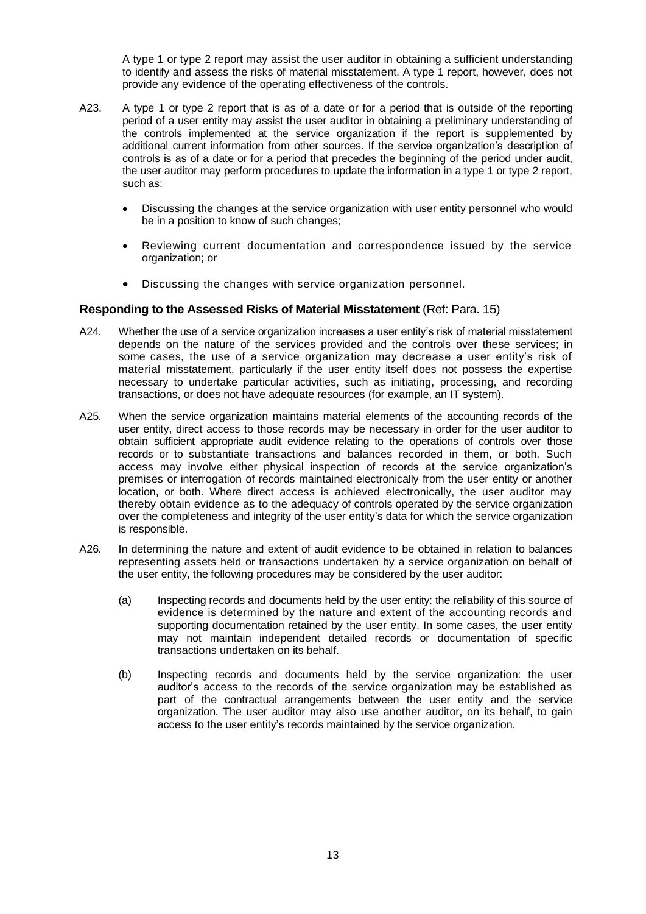A type 1 or type 2 report may assist the user auditor in obtaining a sufficient understanding to identify and assess the risks of material misstatement. A type 1 report, however, does not provide any evidence of the operating effectiveness of the controls.

- A23. A type 1 or type 2 report that is as of a date or for a period that is outside of the reporting period of a user entity may assist the user auditor in obtaining a preliminary understanding of the controls implemented at the service organization if the report is supplemented by additional current information from other sources. If the service organization's description of controls is as of a date or for a period that precedes the beginning of the period under audit, the user auditor may perform procedures to update the information in a type 1 or type 2 report, such as:
	- Discussing the changes at the service organization with user entity personnel who would be in a position to know of such changes;
	- Reviewing current documentation and correspondence issued by the service organization; or
	- Discussing the changes with service organization personnel.

#### **Responding to the Assessed Risks of Material Misstatement** (Ref: Para. 15)

- A24. Whether the use of a service organization increases a user entity's risk of material misstatement depends on the nature of the services provided and the controls over these services; in some cases, the use of a service organization may decrease a user entity's risk of material misstatement, particularly if the user entity itself does not possess the expertise necessary to undertake particular activities, such as initiating, processing, and recording transactions, or does not have adequate resources (for example, an IT system).
- A25. When the service organization maintains material elements of the accounting records of the user entity, direct access to those records may be necessary in order for the user auditor to obtain sufficient appropriate audit evidence relating to the operations of controls over those records or to substantiate transactions and balances recorded in them, or both. Such access may involve either physical inspection of records at the service organization's premises or interrogation of records maintained electronically from the user entity or another location, or both. Where direct access is achieved electronically, the user auditor may thereby obtain evidence as to the adequacy of controls operated by the service organization over the completeness and integrity of the user entity's data for which the service organization is responsible.
- A26. In determining the nature and extent of audit evidence to be obtained in relation to balances representing assets held or transactions undertaken by a service organization on behalf of the user entity, the following procedures may be considered by the user auditor:
	- (a) Inspecting records and documents held by the user entity: the reliability of this source of evidence is determined by the nature and extent of the accounting records and supporting documentation retained by the user entity. In some cases, the user entity may not maintain independent detailed records or documentation of specific transactions undertaken on its behalf.
	- (b) Inspecting records and documents held by the service organization: the user auditor's access to the records of the service organization may be established as part of the contractual arrangements between the user entity and the service organization. The user auditor may also use another auditor, on its behalf, to gain access to the user entity's records maintained by the service organization.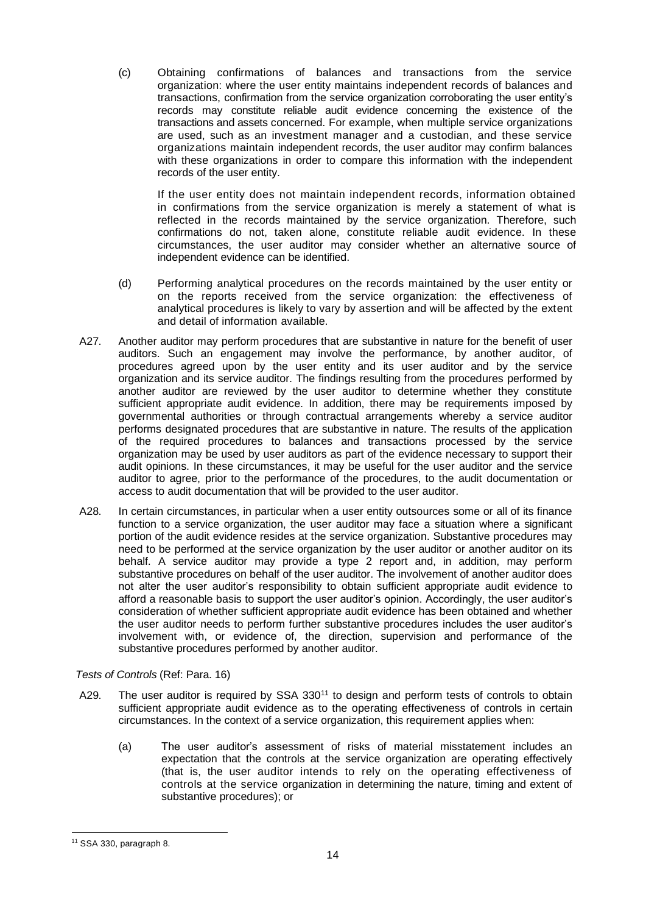(c) Obtaining confirmations of balances and transactions from the service organization: where the user entity maintains independent records of balances and transactions, confirmation from the service organization corroborating the user entity's records may constitute reliable audit evidence concerning the existence of the transactions and assets concerned. For example, when multiple service organizations are used, such as an investment manager and a custodian, and these service organizations maintain independent records, the user auditor may confirm balances with these organizations in order to compare this information with the independent records of the user entity.

If the user entity does not maintain independent records, information obtained in confirmations from the service organization is merely a statement of what is reflected in the records maintained by the service organization. Therefore, such confirmations do not, taken alone, constitute reliable audit evidence. In these circumstances, the user auditor may consider whether an alternative source of independent evidence can be identified.

- (d) Performing analytical procedures on the records maintained by the user entity or on the reports received from the service organization: the effectiveness of analytical procedures is likely to vary by assertion and will be affected by the extent and detail of information available.
- A27. Another auditor may perform procedures that are substantive in nature for the benefit of user auditors. Such an engagement may involve the performance, by another auditor, of procedures agreed upon by the user entity and its user auditor and by the service organization and its service auditor. The findings resulting from the procedures performed by another auditor are reviewed by the user auditor to determine whether they constitute sufficient appropriate audit evidence. In addition, there may be requirements imposed by governmental authorities or through contractual arrangements whereby a service auditor performs designated procedures that are substantive in nature. The results of the application of the required procedures to balances and transactions processed by the service organization may be used by user auditors as part of the evidence necessary to support their audit opinions. In these circumstances, it may be useful for the user auditor and the service auditor to agree, prior to the performance of the procedures, to the audit documentation or access to audit documentation that will be provided to the user auditor.
- A28. In certain circumstances, in particular when a user entity outsources some or all of its finance function to a service organization, the user auditor may face a situation where a significant portion of the audit evidence resides at the service organization. Substantive procedures may need to be performed at the service organization by the user auditor or another auditor on its behalf. A service auditor may provide a type 2 report and, in addition, may perform substantive procedures on behalf of the user auditor. The involvement of another auditor does not alter the user auditor's responsibility to obtain sufficient appropriate audit evidence to afford a reasonable basis to support the user auditor's opinion. Accordingly, the user auditor's consideration of whether sufficient appropriate audit evidence has been obtained and whether the user auditor needs to perform further substantive procedures includes the user auditor's involvement with, or evidence of, the direction, supervision and performance of the substantive procedures performed by another auditor.

*Tests of Controls* (Ref: Para. 16)

- A29. The user auditor is required by SSA 330<sup>11</sup> to design and perform tests of controls to obtain sufficient appropriate audit evidence as to the operating effectiveness of controls in certain circumstances. In the context of a service organization, this requirement applies when:
	- (a) The user auditor's assessment of risks of material misstatement includes an expectation that the controls at the service organization are operating effectively (that is, the user auditor intends to rely on the operating effectiveness of controls at the service organization in determining the nature, timing and extent of substantive procedures); or

<sup>11</sup> SSA 330, paragraph 8.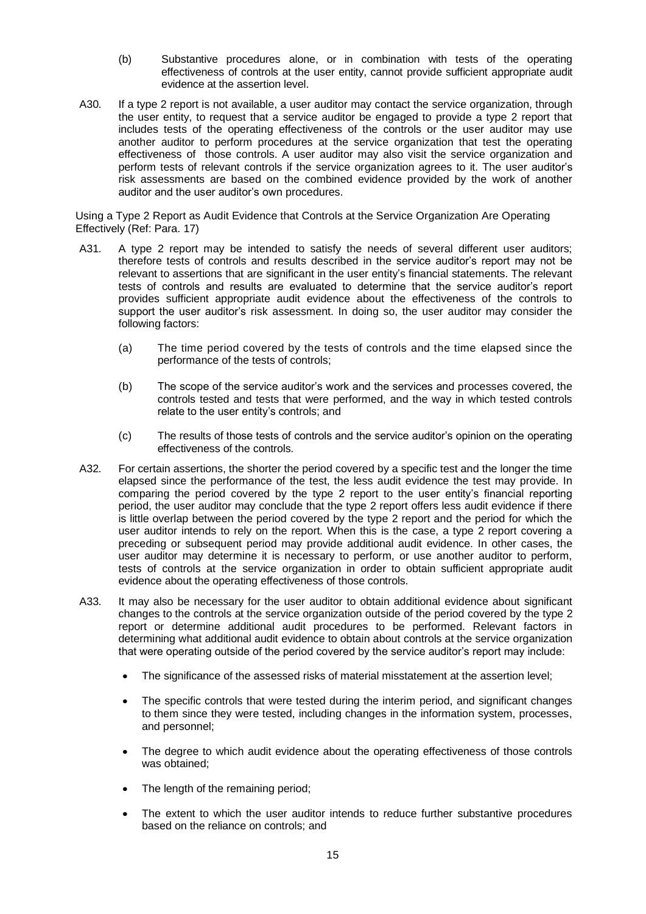- (b) Substantive procedures alone, or in combination with tests of the operating effectiveness of controls at the user entity, cannot provide sufficient appropriate audit evidence at the assertion level.
- A30. If a type 2 report is not available, a user auditor may contact the service organization, through the user entity, to request that a service auditor be engaged to provide a type 2 report that includes tests of the operating effectiveness of the controls or the user auditor may use another auditor to perform procedures at the service organization that test the operating effectiveness of those controls. A user auditor may also visit the service organization and perform tests of relevant controls if the service organization agrees to it. The user auditor's risk assessments are based on the combined evidence provided by the work of another auditor and the user auditor's own procedures.

Using a Type 2 Report as Audit Evidence that Controls at the Service Organization Are Operating Effectively (Ref: Para. 17)

- A31. A type 2 report may be intended to satisfy the needs of several different user auditors; therefore tests of controls and results described in the service auditor's report may not be relevant to assertions that are significant in the user entity's financial statements. The relevant tests of controls and results are evaluated to determine that the service auditor's report provides sufficient appropriate audit evidence about the effectiveness of the controls to support the user auditor's risk assessment. In doing so, the user auditor may consider the following factors:
	- (a) The time period covered by the tests of controls and the time elapsed since the performance of the tests of controls;
	- (b) The scope of the service auditor's work and the services and processes covered, the controls tested and tests that were performed, and the way in which tested controls relate to the user entity's controls; and
	- (c) The results of those tests of controls and the service auditor's opinion on the operating effectiveness of the controls.
- A32. For certain assertions, the shorter the period covered by a specific test and the longer the time elapsed since the performance of the test, the less audit evidence the test may provide. In comparing the period covered by the type 2 report to the user entity's financial reporting period, the user auditor may conclude that the type 2 report offers less audit evidence if there is little overlap between the period covered by the type 2 report and the period for which the user auditor intends to rely on the report. When this is the case, a type 2 report covering a preceding or subsequent period may provide additional audit evidence. In other cases, the user auditor may determine it is necessary to perform, or use another auditor to perform, tests of controls at the service organization in order to obtain sufficient appropriate audit evidence about the operating effectiveness of those controls.
- A33. It may also be necessary for the user auditor to obtain additional evidence about significant changes to the controls at the service organization outside of the period covered by the type 2 report or determine additional audit procedures to be performed. Relevant factors in determining what additional audit evidence to obtain about controls at the service organization that were operating outside of the period covered by the service auditor's report may include:
	- The significance of the assessed risks of material misstatement at the assertion level;
	- The specific controls that were tested during the interim period, and significant changes to them since they were tested, including changes in the information system, processes, and personnel;
	- The degree to which audit evidence about the operating effectiveness of those controls was obtained;
	- The length of the remaining period;
	- The extent to which the user auditor intends to reduce further substantive procedures based on the reliance on controls; and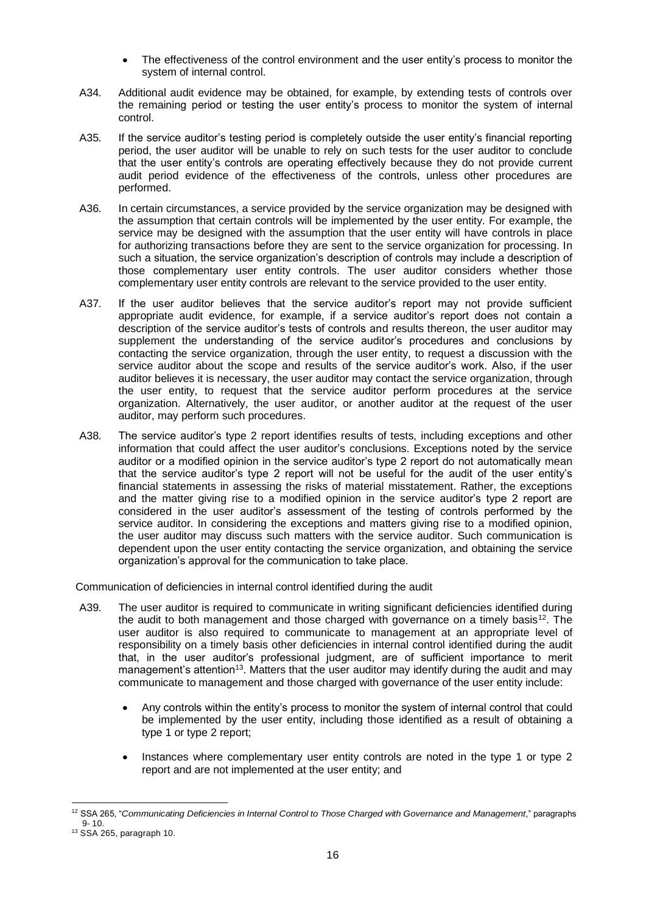- The effectiveness of the control environment and the user entity's process to monitor the system of internal control.
- A34. Additional audit evidence may be obtained, for example, by extending tests of controls over the remaining period or testing the user entity's process to monitor the system of internal control.
- A35. If the service auditor's testing period is completely outside the user entity's financial reporting period, the user auditor will be unable to rely on such tests for the user auditor to conclude that the user entity's controls are operating effectively because they do not provide current audit period evidence of the effectiveness of the controls, unless other procedures are performed.
- A36. In certain circumstances, a service provided by the service organization may be designed with the assumption that certain controls will be implemented by the user entity. For example, the service may be designed with the assumption that the user entity will have controls in place for authorizing transactions before they are sent to the service organization for processing. In such a situation, the service organization's description of controls may include a description of those complementary user entity controls. The user auditor considers whether those complementary user entity controls are relevant to the service provided to the user entity.
- A37. If the user auditor believes that the service auditor's report may not provide sufficient appropriate audit evidence, for example, if a service auditor's report does not contain a description of the service auditor's tests of controls and results thereon, the user auditor may supplement the understanding of the service auditor's procedures and conclusions by contacting the service organization, through the user entity, to request a discussion with the service auditor about the scope and results of the service auditor's work. Also, if the user auditor believes it is necessary, the user auditor may contact the service organization, through the user entity, to request that the service auditor perform procedures at the service organization. Alternatively, the user auditor, or another auditor at the request of the user auditor, may perform such procedures.
- A38. The service auditor's type 2 report identifies results of tests, including exceptions and other information that could affect the user auditor's conclusions. Exceptions noted by the service auditor or a modified opinion in the service auditor's type 2 report do not automatically mean that the service auditor's type 2 report will not be useful for the audit of the user entity's financial statements in assessing the risks of material misstatement. Rather, the exceptions and the matter giving rise to a modified opinion in the service auditor's type 2 report are considered in the user auditor's assessment of the testing of controls performed by the service auditor. In considering the exceptions and matters giving rise to a modified opinion, the user auditor may discuss such matters with the service auditor. Such communication is dependent upon the user entity contacting the service organization, and obtaining the service organization's approval for the communication to take place.

Communication of deficiencies in internal control identified during the audit

- A39. The user auditor is required to communicate in writing significant deficiencies identified during the audit to both management and those charged with governance on a timely basis<sup>12</sup>. The user auditor is also required to communicate to management at an appropriate level of responsibility on a timely basis other deficiencies in internal control identified during the audit that, in the user auditor's professional judgment, are of sufficient importance to merit management's attention<sup>13</sup>. Matters that the user auditor may identify during the audit and may communicate to management and those charged with governance of the user entity include:
	- Any controls within the entity's process to monitor the system of internal control that could be implemented by the user entity, including those identified as a result of obtaining a type 1 or type 2 report;
	- Instances where complementary user entity controls are noted in the type 1 or type 2 report and are not implemented at the user entity; and

<sup>12</sup> SSA 265, "*Communicating Deficiencies in Internal Control to Those Charged with Governance and Management*," paragraphs  $9 - 10$ .

<sup>13</sup> SSA 265, paragraph 10.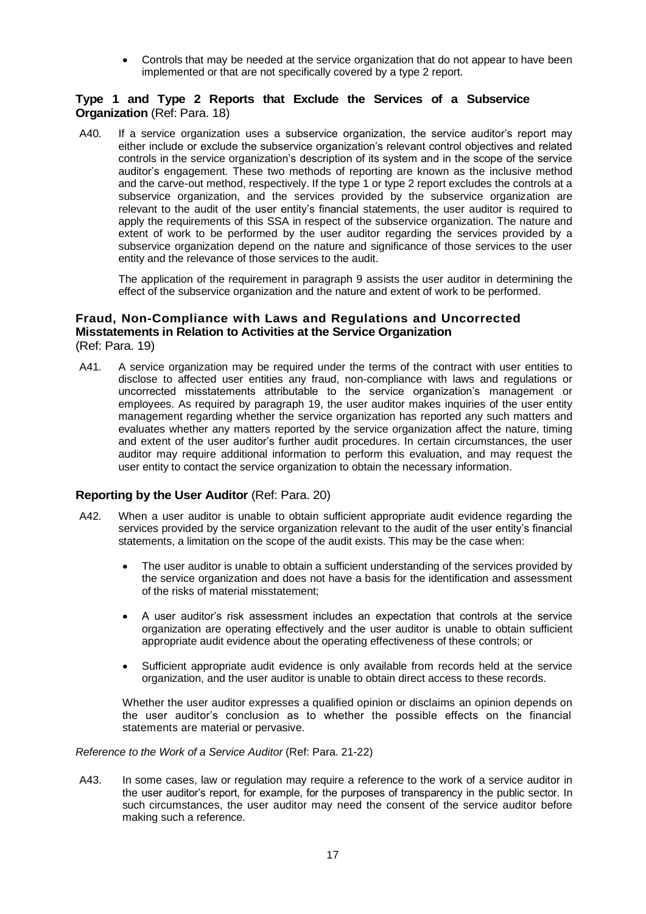• Controls that may be needed at the service organization that do not appear to have been implemented or that are not specifically covered by a type 2 report.

#### **Type 1 and Type 2 Reports that Exclude the Services of a Subservice Organization** (Ref: Para. 18)

A40. If a service organization uses a subservice organization, the service auditor's report may either include or exclude the subservice organization's relevant control objectives and related controls in the service organization's description of its system and in the scope of the service auditor's engagement. These two methods of reporting are known as the inclusive method and the carve-out method, respectively. If the type 1 or type 2 report excludes the controls at a subservice organization, and the services provided by the subservice organization are relevant to the audit of the user entity's financial statements, the user auditor is required to apply the requirements of this SSA in respect of the subservice organization. The nature and extent of work to be performed by the user auditor regarding the services provided by a subservice organization depend on the nature and significance of those services to the user entity and the relevance of those services to the audit.

The application of the requirement in paragraph 9 assists the user auditor in determining the effect of the subservice organization and the nature and extent of work to be performed.

# **Fraud, Non-Compliance with Laws and Regulations and Uncorrected Misstatements in Relation to Activities at the Service Organization**

(Ref: Para. 19)

A41. A service organization may be required under the terms of the contract with user entities to disclose to affected user entities any fraud, non-compliance with laws and regulations or uncorrected misstatements attributable to the service organization's management or employees. As required by paragraph 19, the user auditor makes inquiries of the user entity management regarding whether the service organization has reported any such matters and evaluates whether any matters reported by the service organization affect the nature, timing and extent of the user auditor's further audit procedures. In certain circumstances, the user auditor may require additional information to perform this evaluation, and may request the user entity to contact the service organization to obtain the necessary information.

# **Reporting by the User Auditor** (Ref: Para. 20)

- A42. When a user auditor is unable to obtain sufficient appropriate audit evidence regarding the services provided by the service organization relevant to the audit of the user entity's financial statements, a limitation on the scope of the audit exists. This may be the case when:
	- The user auditor is unable to obtain a sufficient understanding of the services provided by the service organization and does not have a basis for the identification and assessment of the risks of material misstatement;
	- A user auditor's risk assessment includes an expectation that controls at the service organization are operating effectively and the user auditor is unable to obtain sufficient appropriate audit evidence about the operating effectiveness of these controls; or
	- Sufficient appropriate audit evidence is only available from records held at the service organization, and the user auditor is unable to obtain direct access to these records.

Whether the user auditor expresses a qualified opinion or disclaims an opinion depends on the user auditor's conclusion as to whether the possible effects on the financial statements are material or pervasive.

#### *Reference to the Work of a Service Auditor* (Ref: Para. 21-22)

A43. In some cases, law or regulation may require a reference to the work of a service auditor in the user auditor's report, for example, for the purposes of transparency in the public sector. In such circumstances, the user auditor may need the consent of the service auditor before making such a reference.